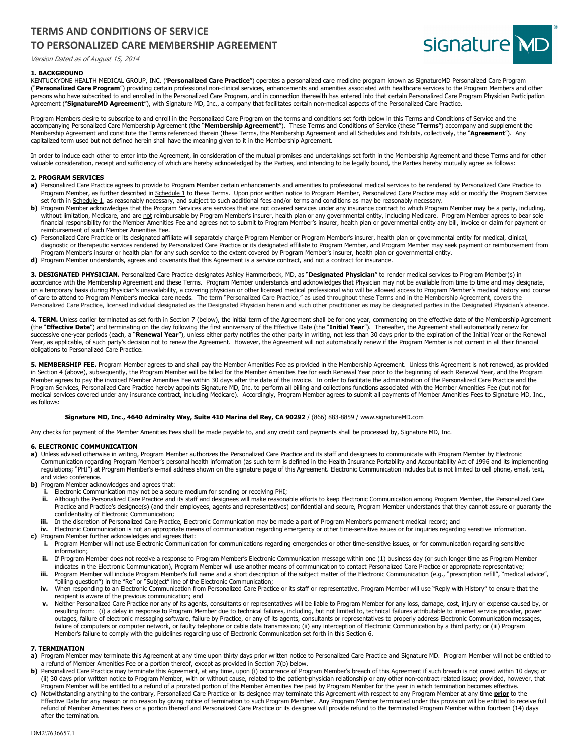# **TERMS AND CONDITIONS OF SERVICE TO PERSONALIZED CARE MEMBERSHIP AGREEMENT**



# **1. BACKGROUND**

Version Dated as of August 15, 2014

KENTUCKYONE HEALTH MEDICAL GROUP, INC. ('**Personalized Care Practice**") operates a personalized care medicine program known as SignatureMD Personalized Care Program ("Personalized Care Program") providing certain professional non-clinical services, enhancements and amenities associated with healthcare services to the Program Members and other persons who have subscribed to and enrolled in the Personalized Care Program, and in connection therewith has entered into that certain Personalized Care Program Physician Participation Agreement ("**SignatureMD Agreement**"), with Signature MD, Inc., a company that facilitates certain non-medical aspects of the Personalized Care Practice.

Program Members desire to subscribe to and enroll in the Personalized Care Program on the terms and conditions set forth below in this Terms and Conditions of Service and the accompanying Personalized Care Membership Agreement (the "**Membership Agreement**"). These Terms and Conditions of Service (these "**Terms**") accompany and supplement the Membership Agreement and constitute the Terms referenced therein (these Terms, the Membership Agreement and all Schedules and Exhibits, collectively, the "**Agreement**"). Any capitalized term used but not defined herein shall have the meaning given to it in the Membership Agreement.

In order to induce each other to enter into the Agreement, in consideration of the mutual promises and undertakings set forth in the Membership Agreement and these Terms and for other valuable consideration, receipt and sufficiency of which are hereby acknowledged by the Parties, and intending to be legally bound, the Parties hereby mutually agree as follows:

#### **2. PROGRAM SERVICES**

- a) Personalized Care Practice agrees to provide to Program Member certain enhancements and amenities to professional medical services to be rendered by Personalized Care Practice to Program Member, as further described in Schedule 1 to these Terms. Upon prior written notice to Program Member, Personalized Care Practice may add or modify the Program Services set forth in Schedule 1, as reasonably necessary, and subject to such additional fees and/or terms and conditions as may be reasonably necessary.
- **b)** Program Member acknowledges that the Program Services are services that are not covered services under any insurance contract to which Program Member may be a party, including, without limitation, Medicare, and are not reimbursable by Program Member's insurer, health plan or any governmental entity, including Medicare. Program Member agrees to bear sole financial responsibility for the Member Amenities Fee and agrees not to submit to Program Member's insurer, health plan or governmental entity any bill, invoice or claim for payment or reimbursement of such Member Amenities Fee.
- **c)** Personalized Care Practice or its designated affiliate will separately charge Program Member or Program Member's insurer, health plan or governmental entity for medical, clinical, diagnostic or therapeutic services rendered by Personalized Care Practice or its designated affiliate to Program Member, and Program Member may seek payment or reimbursement from Program Member's insurer or health plan for any such service to the extent covered by Program Member's insurer, health plan or governmental entity.
- **d)** Program Member understands, agrees and covenants that this Agreement is a service contract, and not a contract for insurance.

**3. DESIGNATED PHYSICIAN.** Personalized Care Practice designates Ashley Hammerbeck, MD, as "**Designated Physician**" to render medical services to Program Member(s) in accordance with the Membership Agreement and these Terms. Program Member understands and acknowledges that Physician may not be available from time to time and may designate, on a temporary basis during Physician's unavailability, a covering physician or other licensed medical professional who will be allowed access to Program Member's medical history and course of care to attend to Program Member's medical care needs. The term "Personalized Care Practice," as used throughout these Terms and in the Membership Agreement, covers the<br>Personalized Care Practice, licensed individual de

4. TERM. Unless earlier terminated as set forth in Section 7 (below), the initial term of the Agreement shall be for one year, commencing on the effective date of the Membership Agreement (the "**Effective Date**") and terminating on the day following the first anniversary of the Effective Date (the "**Initial Year**"). Thereafter, the Agreement shall automatically renew for<br>successive one-year periods (each, a Year, as applicable, of such party's decision not to renew the Agreement. However, the Agreement will not automatically renew if the Program Member is not current in all their financial obligations to Personalized Care Practice.

5. MEMBERSHIP FEE. Program Member agrees to and shall pay the Member Amenities Fee as provided in the Membership Agreement. Unless this Agreement is not renewed, as provided in Section 4 (above), subsequently, the Program Member will be billed for the Member Amenities Fee for each Renewal Year prior to the beginning of each Renewal Year, and the Program Member agrees to pay the invoiced Member Amenities Fee within 30 days after the date of the invoice. In order to facilitate the administration of the Personalized Care Practice and the Program Services, Personalized Care Practice hereby appoints Signature MD, Inc. to perform all billing and collections functions associated with the Member Amenities Fee (but not for medical services covered under any insurance contract, including Medicare). Accordingly, Program Member agrees to submit all payments of Member Amenities Fees to Signature MD, Inc., as follows:

#### **Signature MD, Inc., 4640 Admiralty Way, Suite 410 Marina del Rey, CA 90292** / (866) 883-8859 / www.signatureMD.com

Any checks for payment of the Member Amenities Fees shall be made payable to, and any credit card payments shall be processed by, Signature MD, Inc.

#### **6. ELECTRONIC COMMUNICATION**

- a) Unless advised otherwise in writing, Program Member authorizes the Personalized Care Practice and its staff and designees to communicate with Program Member by Electronic Communication regarding Program Member's personal health information (as such term is defined in the Health Insurance Portability and Accountability Act of 1996 and its implementing regulations; "PHI") at Program Member's e-mail address shown on the signature page of this Agreement. Electronic Communication includes but is not limited to cell phone, email, text, and video conference.
- **b)** Program Member acknowledges and agrees that:
	- **i.** Electronic Communication may not be a secure medium for sending or receiving PHI;
	- **ii.** Although the Personalized Care Practice and its staff and designees will make reasonable efforts to keep Electronic Communication among Program Member, the Personalized Care Practice and Practice's designee(s) (and their employees, agents and representatives) confidential and secure, Program Member understands that they cannot assure or guaranty the confidentiality of Electronic Communication;
	- **iii.** In the discretion of Personalized Care Practice, Electronic Communication may be made a part of Program Member's permanent medical record; and
- **iv.** Electronic Communication is not an appropriate means of communication regarding emergency or other time-sensitive issues or for inquiries regarding sensitive information. **c)** Program Member further acknowledges and agrees that:
	- **i.** Program Member will not use Electronic Communication for communications regarding emergencies or other time-sensitive issues, or for communication regarding sensitive information;
	- **ii.** If Program Member does not receive a response to Program Member's Electronic Communication message within one (1) business day (or such longer time as Program Member indicates in the Electronic Communication), Program Member will use another means of communication to contact Personalized Care Practice or appropriate representative;
	- **iii.** Program Member will include Program Member's full name and a short description of the subject matter of the Electronic Communication (e.g., "prescription refill", "medical advice", "billing question") in the "Re" or "Subject" line of the Electronic Communication;
	- iv. When responding to an Electronic Communication from Personalized Care Practice or its staff or representative, Program Member will use "Reply with History" to ensure that the recipient is aware of the previous communication; and
	- **v.** Neither Personalized Care Practice nor any of its agents, consultants or representatives will be liable to Program Member for any loss, damage, cost, injury or expense caused by, or resulting from: (i) a delay in response to Program Member due to technical failures, including, but not limited to, technical failures attributable to internet service provider, power outages, failure of electronic messaging software, failure by Practice, or any of its agents, consultants or representatives to properly address Electronic Communication messages, failure of computers or computer network, or faulty telephone or cable data transmission; (ii) any interception of Electronic Communication by a third party; or (iii) Program Member's failure to comply with the guidelines regarding use of Electronic Communication set forth in this Section 6.

### **7. TERMINATION**

- a) Program Member may terminate this Agreement at any time upon thirty days prior written notice to Personalized Care Practice and Signature MD. Program Member will not be entitled to a refund of Member Amenities Fee or a portion thereof, except as provided in Section 7(b) below.
- **b)** Personalized Care Practice may terminate this Agreement, at any time, upon (i) occurrence of Program Member's breach of this Agreement if such breach is not cured within 10 days; or (ii) 30 days prior written notice to Program Member, with or without cause, related to the patient-physician relationship or any other non-contract related issue; provided, however, that Program Member will be entitled to a refund of a prorated portion of the Member Amenities Fee paid by Program Member for the year in which termination becomes effective.
- **c)** Notwithstanding anything to the contrary, Personalized Care Practice or its designee may terminate this Agreement with respect to any Program Member at any time **prior** to the Effective Date for any reason or no reason by giving notice of termination to such Program Member. Any Program Member terminated under this provision will be entitled to receive full refund of Member Amenities Fees or a portion thereof and Personalized Care Practice or its designee will provide refund to the terminated Program Member within fourteen (14) days after the termination.